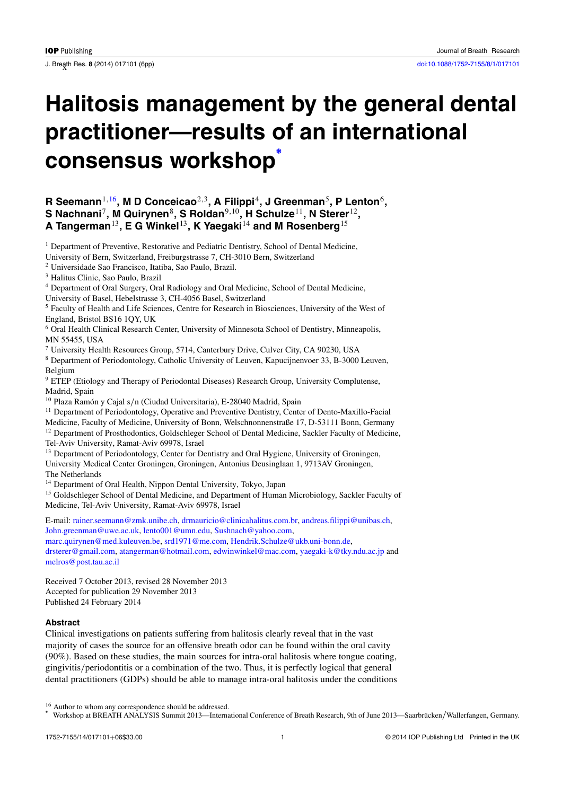# **Halitosis management by the general dental practitioner—results of an international consensus workshop<sup>∗</sup>**

# **R Seemann**1,16**, M D Conceicao**2,3**, A Filippi**4**, J Greenman**5**, P Lenton**6**, S Nachnani**7**, M Quirynen**8**, S Roldan**9,10**, H Schulze**11**, N Sterer**12**, A Tangerman**13**, E G Winkel**13**, K Yaegaki**<sup>14</sup> **and M Rosenberg**<sup>15</sup>

<sup>1</sup> Department of Preventive, Restorative and Pediatric Dentistry, School of Dental Medicine, University of Bern, Switzerland, Freiburgstrasse 7, CH-3010 Bern, Switzerland

<sup>2</sup> Universidade Sao Francisco, Itatiba, Sao Paulo, Brazil.

<sup>3</sup> Halitus Clinic, Sao Paulo, Brazil

<sup>4</sup> Department of Oral Surgery, Oral Radiology and Oral Medicine, School of Dental Medicine,

University of Basel, Hebelstrasse 3, CH-4056 Basel, Switzerland

<sup>5</sup> Faculty of Health and Life Sciences, Centre for Research in Biosciences, University of the West of England, Bristol BS16 1QY, UK

<sup>6</sup> Oral Health Clinical Research Center, University of Minnesota School of Dentistry, Minneapolis, MN 55455, USA

<sup>7</sup> University Health Resources Group, 5714, Canterbury Drive, Culver City, CA 90230, USA

<sup>8</sup> Department of Periodontology, Catholic University of Leuven, Kapucijnenvoer 33, B-3000 Leuven, Belgium

<sup>9</sup> ETEP (Etiology and Therapy of Periodontal Diseases) Research Group, University Complutense, Madrid, Spain

<sup>10</sup> Plaza Ramón y Cajal s/n (Ciudad Universitaria), E-28040 Madrid, Spain

<sup>11</sup> Department of Periodontology, Operative and Preventive Dentistry, Center of Dento-Maxillo-Facial

Medicine, Faculty of Medicine, University of Bonn, Welschnonnenstraße 17, D-53111 Bonn, Germany <sup>12</sup> Department of Prosthodontics, Goldschleger School of Dental Medicine, Sackler Faculty of Medicine,

Tel-Aviv University, Ramat-Aviv 69978, Israel

<sup>13</sup> Department of Periodontology, Center for Dentistry and Oral Hygiene, University of Groningen, University Medical Center Groningen, Groningen, Antonius Deusinglaan 1, 9713AV Groningen, The Netherlands

<sup>14</sup> Department of Oral Health, Nippon Dental University, Tokyo, Japan

<sup>15</sup> Goldschleger School of Dental Medicine, and Department of Human Microbiology, Sackler Faculty of Medicine, Tel-Aviv University, Ramat-Aviv 69978, Israel

E-mail: [rainer.seemann@zmk.unibe.ch,](mailto:rainer.seemann@zmk.unibe.ch) [drmauricio@clinicahalitus.com.br,](mailto:drmauricio@clinicahalitus.com.br) [andreas.filippi@unibas.ch,](mailto:andreas.filippi@unibas.ch) [John.greenman@uwe.ac.uk,](mailto:John.greenman@uwe.ac.uk) [lento001@umn.edu,](mailto:lento001@umn.edu) [Sushnach@yahoo.com,](mailto:Sushnach@yahoo.com) [marc.quirynen@med.kuleuven.be,](mailto:marc.quirynen@med.kuleuven.be) [srd1971@me.com,](mailto:srd1971@me.com) [Hendrik.Schulze@ukb.uni-bonn.de,](mailto:Hendrik.Schulze@ukb.uni-bonn.de)

[drsterer@gmail.com,](mailto:drsterer@gmail.com) [atangerman@hotmail.com,](mailto:atangerman@hotmail.com) [edwinwinkel@mac.com,](mailto:edwinwinkel@mac.com) [yaegaki-k@tky.ndu.ac.jp](mailto:yaegaki-k@tky.ndu.ac.jp) and [melros@post.tau.ac.il](mailto:melros@post.tau.ac.il)

Received 7 October 2013, revised 28 November 2013 Accepted for publication 29 November 2013 Published 24 February 2014

# **Abstract**

Clinical investigations on patients suffering from halitosis clearly reveal that in the vast majority of cases the source for an offensive breath odor can be found within the oral cavity (90%). Based on these studies, the main sources for intra-oral halitosis where tongue coating, gingivitis*/*periodontitis or a combination of the two. Thus, it is perfectly logical that general dental practitioners (GDPs) should be able to manage intra-oral halitosis under the conditions

<sup>16</sup> Author to whom any correspondence should be addressed. **<sup>∗</sup>**

Workshop at BREATH ANALYSIS Summit 2013—International Conference of Breath Research, 9th of June 2013—Saarbrücken/Wallerfangen, Germany.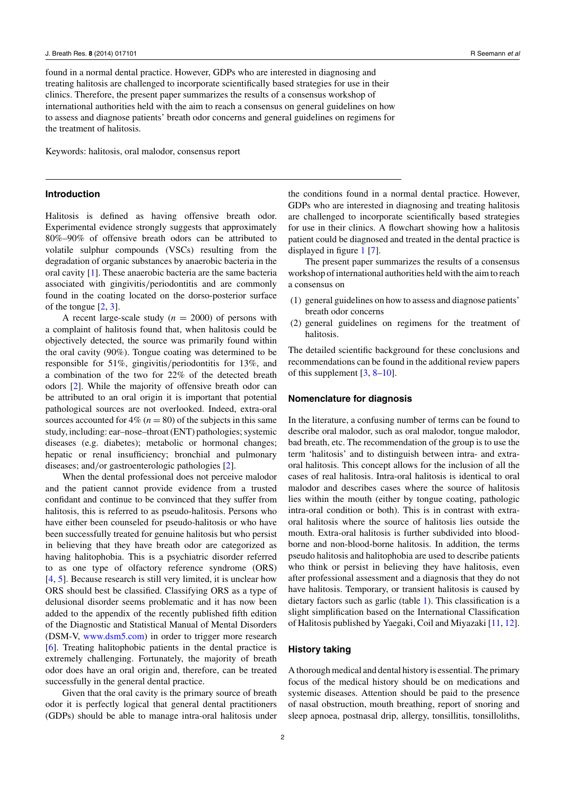found in a normal dental practice. However, GDPs who are interested in diagnosing and treating halitosis are challenged to incorporate scientifically based strategies for use in their clinics. Therefore, the present paper summarizes the results of a consensus workshop of international authorities held with the aim to reach a consensus on general guidelines on how to assess and diagnose patients' breath odor concerns and general guidelines on regimens for the treatment of halitosis.

Keywords: halitosis, oral malodor, consensus report

# **Introduction**

Halitosis is defined as having offensive breath odor. Experimental evidence strongly suggests that approximately 80%–90% of offensive breath odors can be attributed to volatile sulphur compounds (VSCs) resulting from the degradation of organic substances by anaerobic bacteria in the oral cavity [\[1\]](#page-5-0). These anaerobic bacteria are the same bacteria associated with gingivitis*/*periodontitis and are commonly found in the coating located on the dorso-posterior surface of the tongue [\[2](#page-5-0), [3](#page-5-0)].

A recent large-scale study  $(n = 2000)$  of persons with a complaint of halitosis found that, when halitosis could be objectively detected, the source was primarily found within the oral cavity (90%). Tongue coating was determined to be responsible for 51%, gingivitis*/*periodontitis for 13%, and a combination of the two for 22% of the detected breath odors [\[2\]](#page-5-0). While the majority of offensive breath odor can be attributed to an oral origin it is important that potential pathological sources are not overlooked. Indeed, extra-oral sources accounted for  $4\%$  ( $n = 80$ ) of the subjects in this same study, including: ear–nose–throat (ENT) pathologies; systemic diseases (e.g. diabetes); metabolic or hormonal changes; hepatic or renal insufficiency; bronchial and pulmonary diseases; and*/*or gastroenterologic pathologies [\[2](#page-5-0)].

When the dental professional does not perceive malodor and the patient cannot provide evidence from a trusted confidant and continue to be convinced that they suffer from halitosis, this is referred to as pseudo-halitosis. Persons who have either been counseled for pseudo-halitosis or who have been successfully treated for genuine halitosis but who persist in believing that they have breath odor are categorized as having halitophobia. This is a psychiatric disorder referred to as one type of olfactory reference syndrome (ORS) [\[4](#page-5-0), [5\]](#page-5-0). Because research is still very limited, it is unclear how ORS should best be classified. Classifying ORS as a type of delusional disorder seems problematic and it has now been added to the appendix of the recently published fifth edition of the Diagnostic and Statistical Manual of Mental Disorders (DSM-V, [www.dsm5.com\)](http://www.dsm5.com) in order to trigger more research [\[6](#page-5-0)]. Treating halitophobic patients in the dental practice is extremely challenging. Fortunately, the majority of breath odor does have an oral origin and, therefore, can be treated successfully in the general dental practice.

Given that the oral cavity is the primary source of breath odor it is perfectly logical that general dental practitioners (GDPs) should be able to manage intra-oral halitosis under

the conditions found in a normal dental practice. However, GDPs who are interested in diagnosing and treating halitosis are challenged to incorporate scientifically based strategies for use in their clinics. A flowchart showing how a halitosis patient could be diagnosed and treated in the dental practice is displayed in figure [1](#page-2-0) [\[7\]](#page-5-0).

The present paper summarizes the results of a consensus workshop of international authorities held with the aim to reach a consensus on

- (1) general guidelines on how to assess and diagnose patients' breath odor concerns
- (2) general guidelines on regimens for the treatment of halitosis.

The detailed scientific background for these conclusions and recommendations can be found in the additional review papers of this supplement  $[3, 8-10]$  $[3, 8-10]$ .

#### **Nomenclature for diagnosis**

In the literature, a confusing number of terms can be found to describe oral malodor, such as oral malodor, tongue malodor, bad breath, etc. The recommendation of the group is to use the term 'halitosis' and to distinguish between intra- and extraoral halitosis. This concept allows for the inclusion of all the cases of real halitosis. Intra-oral halitosis is identical to oral malodor and describes cases where the source of halitosis lies within the mouth (either by tongue coating, pathologic intra-oral condition or both). This is in contrast with extraoral halitosis where the source of halitosis lies outside the mouth. Extra-oral halitosis is further subdivided into bloodborne and non-blood-borne halitosis. In addition, the terms pseudo halitosis and halitophobia are used to describe patients who think or persist in believing they have halitosis, even after professional assessment and a diagnosis that they do not have halitosis. Temporary, or transient halitosis is caused by dietary factors such as garlic (table [1\)](#page-3-0). This classification is a slight simplification based on the International Classification of Halitosis published by Yaegaki, Coil and Miyazaki [\[11](#page-5-0), [12](#page-5-0)].

## **History taking**

A thorough medical and dental history is essential. The primary focus of the medical history should be on medications and systemic diseases. Attention should be paid to the presence of nasal obstruction, mouth breathing, report of snoring and sleep apnoea, postnasal drip, allergy, tonsillitis, tonsilloliths,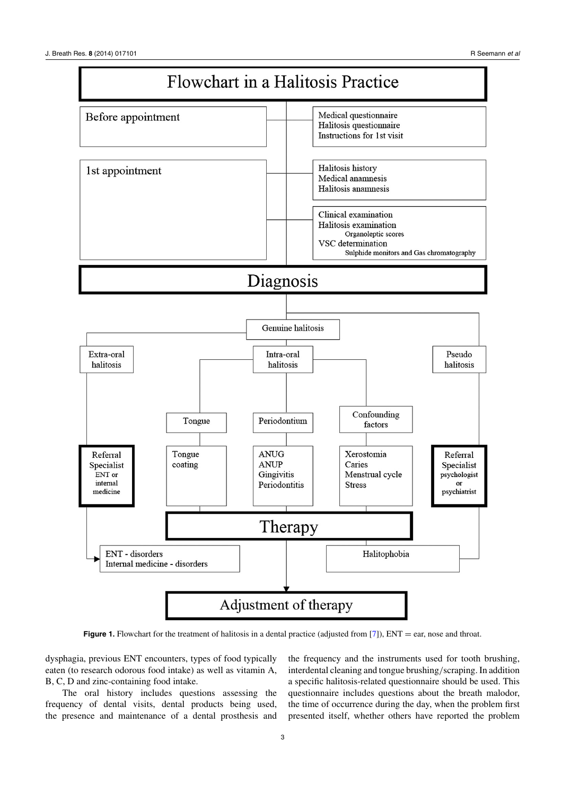<span id="page-2-0"></span>

**Figure 1.** Flowchart for the treatment of halitosis in a dental practice (adjusted from [\[7\]](#page-5-0)), ENT = ear, nose and throat.

dysphagia, previous ENT encounters, types of food typically eaten (to research odorous food intake) as well as vitamin A, B, C, D and zinc-containing food intake.

The oral history includes questions assessing the frequency of dental visits, dental products being used, the presence and maintenance of a dental prosthesis and

the frequency and the instruments used for tooth brushing, interdental cleaning and tongue brushing*/*scraping. In addition a specific halitosis-related questionnaire should be used. This questionnaire includes questions about the breath malodor, the time of occurrence during the day, when the problem first presented itself, whether others have reported the problem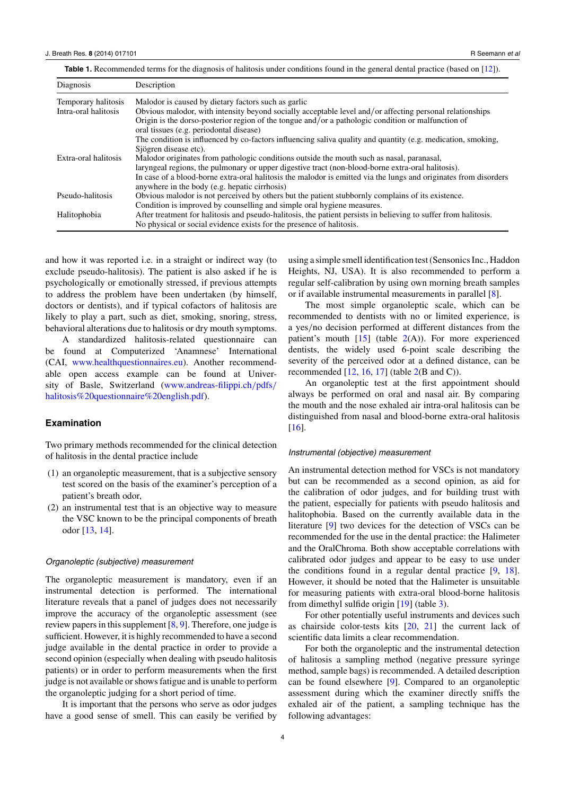<span id="page-3-0"></span>

|  |  | <b>Table 1.</b> Recommended terms for the diagnosis of halitosis under conditions found in the general dental practice (based on [12]). |  |
|--|--|-----------------------------------------------------------------------------------------------------------------------------------------|--|
|--|--|-----------------------------------------------------------------------------------------------------------------------------------------|--|

| Diagnosis            | Description                                                                                                                                                                             |
|----------------------|-----------------------------------------------------------------------------------------------------------------------------------------------------------------------------------------|
| Temporary halitosis  | Malodor is caused by dietary factors such as garlic                                                                                                                                     |
| Intra-oral halitosis | Obvious malodor, with intensity beyond socially acceptable level and/or affecting personal relationships                                                                                |
|                      | Origin is the dorso-posterior region of the tongue and/or a pathologic condition or malfunction of<br>oral tissues (e.g. periodontal disease)                                           |
|                      | The condition is influenced by co-factors influencing saliva quality and quantity (e.g. medication, smoking,<br>Sjögren disease etc).                                                   |
| Extra-oral halitosis | Malodor originates from pathologic conditions outside the mouth such as nasal, paranasal,                                                                                               |
|                      | laryngeal regions, the pulmonary or upper digestive tract (non-blood-borne extra-oral halitosis).                                                                                       |
|                      | In case of a blood-borne extra-oral halitosis the malodor is emitted via the lungs and originates from disorders<br>anywhere in the body (e.g. hepatic cirrhosis)                       |
| Pseudo-halitosis     | Obvious malodor is not perceived by others but the patient stubbornly complains of its existence.                                                                                       |
|                      | Condition is improved by counselling and simple oral hygiene measures.                                                                                                                  |
| Halitophobia         | After treatment for halitosis and pseudo-halitosis, the patient persists in believing to suffer from halitosis.<br>No physical or social evidence exists for the presence of halitosis. |

and how it was reported i.e. in a straight or indirect way (to exclude pseudo-halitosis). The patient is also asked if he is psychologically or emotionally stressed, if previous attempts to address the problem have been undertaken (by himself, doctors or dentists), and if typical cofactors of halitosis are likely to play a part, such as diet, smoking, snoring, stress, behavioral alterations due to halitosis or dry mouth symptoms.

A standardized halitosis-related questionnaire can be found at Computerized 'Anamnese' International (CAI, [www.healthquestionnaires.eu\)](http://www.healthquestionnaires.eu). Another recommendable open access example can be found at University of Basle, Switzerland [\(www.andreas-filippi.ch](http://www.andreas-filippi.chprotect $
elax hbox {ma char )*/*pdfs*/* [halitosis%20questionnaire%20english.pdf\)](http://www.andreas-filippi.chprotect $
elax hbox {ma char ).

#### **Examination**

Two primary methods recommended for the clinical detection of halitosis in the dental practice include

- (1) an organoleptic measurement, that is a subjective sensory test scored on the basis of the examiner's perception of a patient's breath odor,
- (2) an instrumental test that is an objective way to measure the VSC known to be the principal components of breath odor [\[13](#page-5-0), [14](#page-5-0)].

### Organoleptic (subjective) measurement

The organoleptic measurement is mandatory, even if an instrumental detection is performed. The international literature reveals that a panel of judges does not necessarily improve the accuracy of the organoleptic assessment (see review papers in this supplement [\[8](#page-5-0), [9](#page-5-0)]. Therefore, one judge is sufficient. However, it is highly recommended to have a second judge available in the dental practice in order to provide a second opinion (especially when dealing with pseudo halitosis patients) or in order to perform measurements when the first judge is not available or shows fatigue and is unable to perform the organoleptic judging for a short period of time.

It is important that the persons who serve as odor judges have a good sense of smell. This can easily be verified by using a simple smell identification test (Sensonics Inc., Haddon Heights, NJ, USA). It is also recommended to perform a regular self-calibration by using own morning breath samples or if available instrumental measurements in parallel [\[8](#page-5-0)].

The most simple organoleptic scale, which can be recommended to dentists with no or limited experience, is a yes*/*no decision performed at different distances from the patient's mouth  $[15]$  $[15]$  (table  $2(A)$  $2(A)$ ). For more experienced dentists, the widely used 6-point scale describing the severity of the perceived odor at a defined distance, can be recommended  $[12, 16, 17]$  $[12, 16, 17]$  $[12, 16, 17]$  $[12, 16, 17]$  $[12, 16, 17]$  $[12, 16, 17]$  (table  $2(B \text{ and } C)$  $2(B \text{ and } C)$ ).

An organoleptic test at the first appointment should always be performed on oral and nasal air. By comparing the mouth and the nose exhaled air intra-oral halitosis can be distinguished from nasal and blood-borne extra-oral halitosis [\[16](#page-5-0)].

#### Instrumental (objective) measurement

An instrumental detection method for VSCs is not mandatory but can be recommended as a second opinion, as aid for the calibration of odor judges, and for building trust with the patient, especially for patients with pseudo halitosis and halitophobia. Based on the currently available data in the literature [\[9](#page-5-0)] two devices for the detection of VSCs can be recommended for the use in the dental practice: the Halimeter and the OralChroma. Both show acceptable correlations with calibrated odor judges and appear to be easy to use under the conditions found in a regular dental practice [\[9,](#page-5-0) [18](#page-5-0)]. However, it should be noted that the Halimeter is unsuitable for measuring patients with extra-oral blood-borne halitosis from dimethyl sulfide origin [\[19\]](#page-5-0) (table [3\)](#page-4-0).

For other potentially useful instruments and devices such as chairside color-tests kits [\[20,](#page-5-0) [21](#page-5-0)] the current lack of scientific data limits a clear recommendation.

For both the organoleptic and the instrumental detection of halitosis a sampling method (negative pressure syringe method, sample bags) is recommended. A detailed description can be found elsewhere [\[9\]](#page-5-0). Compared to an organoleptic assessment during which the examiner directly sniffs the exhaled air of the patient, a sampling technique has the following advantages: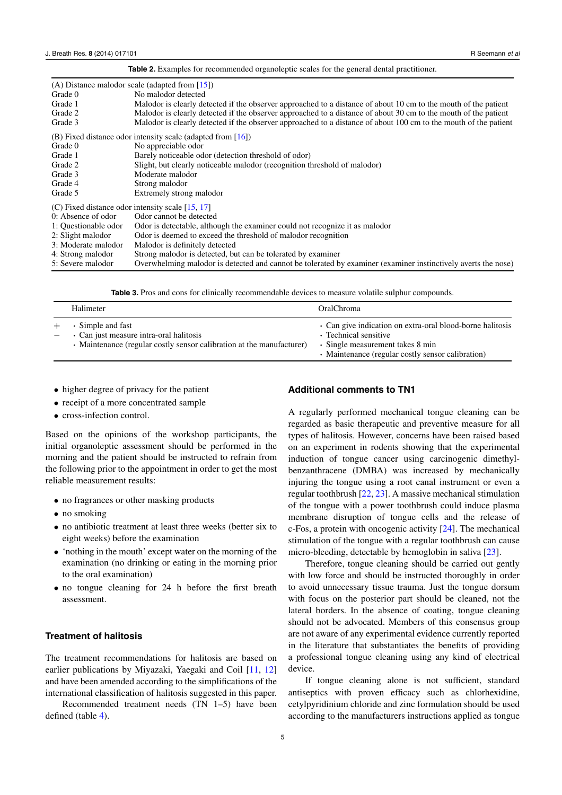<span id="page-4-0"></span>

|                      | (A) Distance malodor scale (adapted from $[15]$ )                                                                |  |  |  |
|----------------------|------------------------------------------------------------------------------------------------------------------|--|--|--|
| Grade 0              | No malodor detected                                                                                              |  |  |  |
| Grade 1              | Malodor is clearly detected if the observer approached to a distance of about 10 cm to the mouth of the patient  |  |  |  |
| Grade 2              | Malodor is clearly detected if the observer approached to a distance of about 30 cm to the mouth of the patient  |  |  |  |
| Grade 3              | Malodor is clearly detected if the observer approached to a distance of about 100 cm to the mouth of the patient |  |  |  |
|                      | (B) Fixed distance odor intensity scale (adapted from $[16]$ )                                                   |  |  |  |
| Grade 0              | No appreciable odor                                                                                              |  |  |  |
| Grade 1              | Barely noticeable odor (detection threshold of odor)                                                             |  |  |  |
| Grade 2              | Slight, but clearly noticeable malodor (recognition threshold of malodor)                                        |  |  |  |
| Grade 3              | Moderate malodor                                                                                                 |  |  |  |
| Grade 4              | Strong malodor                                                                                                   |  |  |  |
| Grade 5              | Extremely strong malodor                                                                                         |  |  |  |
|                      | (C) Fixed distance odor intensity scale $[15, 17]$                                                               |  |  |  |
| 0: Absence of odor   | Odor cannot be detected                                                                                          |  |  |  |
| 1: Questionable odor | Odor is detectable, although the examiner could not recognize it as malodor                                      |  |  |  |
| 2: Slight malodor    | Odor is deemed to exceed the threshold of malodor recognition                                                    |  |  |  |
| 3: Moderate malodor  | Malodor is definitely detected                                                                                   |  |  |  |
| 4: Strong malodor    | Strong malodor is detected, but can be tolerated by examiner                                                     |  |  |  |
| 5: Severe malodor    | Overwhelming malodor is detected and cannot be tolerated by examiner (examiner instinctively averts the nose)    |  |  |  |
|                      |                                                                                                                  |  |  |  |

**Table 2.** Examples for recommended organoleptic scales for the general dental practitioner.

**Table 3.** Pros and cons for clinically recommendable devices to measure volatile sulphur compounds.

| Halimeter                                                                                                                             | OralChroma                                                                                                                                                                  |
|---------------------------------------------------------------------------------------------------------------------------------------|-----------------------------------------------------------------------------------------------------------------------------------------------------------------------------|
| • Simple and fast<br>• Can just measure intra-oral halitosis<br>• Maintenance (regular costly sensor calibration at the manufacturer) | • Can give indication on extra-oral blood-borne halitosis<br>• Technical sensitive<br>• Single measurement takes 8 min<br>• Maintenance (regular costly sensor calibration) |

- higher degree of privacy for the patient
- receipt of a more concentrated sample
- cross-infection control.

Based on the opinions of the workshop participants, the initial organoleptic assessment should be performed in the morning and the patient should be instructed to refrain from the following prior to the appointment in order to get the most reliable measurement results:

- no fragrances or other masking products
- no smoking
- no antibiotic treatment at least three weeks (better six to eight weeks) before the examination
- 'nothing in the mouth' except water on the morning of the examination (no drinking or eating in the morning prior to the oral examination)
- no tongue cleaning for 24 h before the first breath assessment.

# **Treatment of halitosis**

The treatment recommendations for halitosis are based on earlier publications by Miyazaki, Yaegaki and Coil [\[11,](#page-5-0) [12\]](#page-5-0) and have been amended according to the simplifications of the international classification of halitosis suggested in this paper.

Recommended treatment needs (TN 1–5) have been defined (table [4\)](#page-5-0).

## **Additional comments to TN1**

A regularly performed mechanical tongue cleaning can be regarded as basic therapeutic and preventive measure for all types of halitosis. However, concerns have been raised based on an experiment in rodents showing that the experimental induction of tongue cancer using carcinogenic dimethylbenzanthracene (DMBA) was increased by mechanically injuring the tongue using a root canal instrument or even a regular toothbrush [\[22](#page-5-0), [23](#page-5-0)]. A massive mechanical stimulation of the tongue with a power toothbrush could induce plasma membrane disruption of tongue cells and the release of c-Fos, a protein with oncogenic activity [\[24\]](#page-5-0). The mechanical stimulation of the tongue with a regular toothbrush can cause micro-bleeding, detectable by hemoglobin in saliva [\[23](#page-5-0)].

Therefore, tongue cleaning should be carried out gently with low force and should be instructed thoroughly in order to avoid unnecessary tissue trauma. Just the tongue dorsum with focus on the posterior part should be cleaned, not the lateral borders. In the absence of coating, tongue cleaning should not be advocated. Members of this consensus group are not aware of any experimental evidence currently reported in the literature that substantiates the benefits of providing a professional tongue cleaning using any kind of electrical device.

If tongue cleaning alone is not sufficient, standard antiseptics with proven efficacy such as chlorhexidine, cetylpyridinium chloride and zinc formulation should be used according to the manufacturers instructions applied as tongue